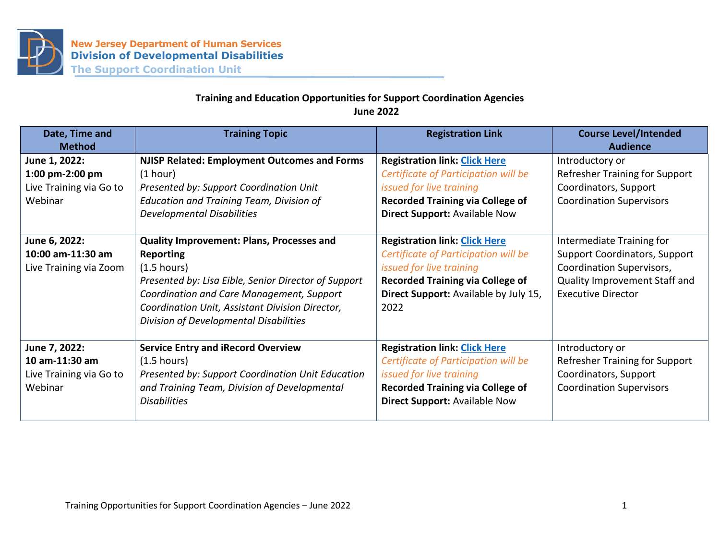

## **Training and Education Opportunities for Support Coordination Agencies June 2022**

| Date, Time and<br><b>Method</b>                                        | <b>Training Topic</b>                                                                                                                                                                                                                                                                           | <b>Registration Link</b>                                                                                                                                                                             | <b>Course Level/Intended</b><br><b>Audience</b>                                                                                                              |
|------------------------------------------------------------------------|-------------------------------------------------------------------------------------------------------------------------------------------------------------------------------------------------------------------------------------------------------------------------------------------------|------------------------------------------------------------------------------------------------------------------------------------------------------------------------------------------------------|--------------------------------------------------------------------------------------------------------------------------------------------------------------|
| June 1, 2022:<br>1:00 pm-2:00 pm<br>Live Training via Go to<br>Webinar | <b>NJISP Related: Employment Outcomes and Forms</b><br>(1 hour)<br>Presented by: Support Coordination Unit<br><b>Education and Training Team, Division of</b><br><b>Developmental Disabilities</b>                                                                                              | <b>Registration link: Click Here</b><br>Certificate of Participation will be<br>issued for live training<br><b>Recorded Training via College of</b><br>Direct Support: Available Now                 | Introductory or<br>Refresher Training for Support<br>Coordinators, Support<br><b>Coordination Supervisors</b>                                                |
| June 6, 2022:<br>10:00 am-11:30 am<br>Live Training via Zoom           | <b>Quality Improvement: Plans, Processes and</b><br><b>Reporting</b><br>$(1.5 \text{ hours})$<br>Presented by: Lisa Eible, Senior Director of Support<br>Coordination and Care Management, Support<br>Coordination Unit, Assistant Division Director,<br>Division of Developmental Disabilities | <b>Registration link: Click Here</b><br>Certificate of Participation will be<br>issued for live training<br><b>Recorded Training via College of</b><br>Direct Support: Available by July 15,<br>2022 | Intermediate Training for<br><b>Support Coordinators, Support</b><br>Coordination Supervisors,<br>Quality Improvement Staff and<br><b>Executive Director</b> |
| June 7, 2022:<br>10 am-11:30 am<br>Live Training via Go to<br>Webinar  | <b>Service Entry and iRecord Overview</b><br>$(1.5 \text{ hours})$<br>Presented by: Support Coordination Unit Education<br>and Training Team, Division of Developmental<br><b>Disabilities</b>                                                                                                  | <b>Registration link: Click Here</b><br>Certificate of Participation will be<br>issued for live training<br><b>Recorded Training via College of</b><br><b>Direct Support: Available Now</b>          | Introductory or<br>Refresher Training for Support<br>Coordinators, Support<br><b>Coordination Supervisors</b>                                                |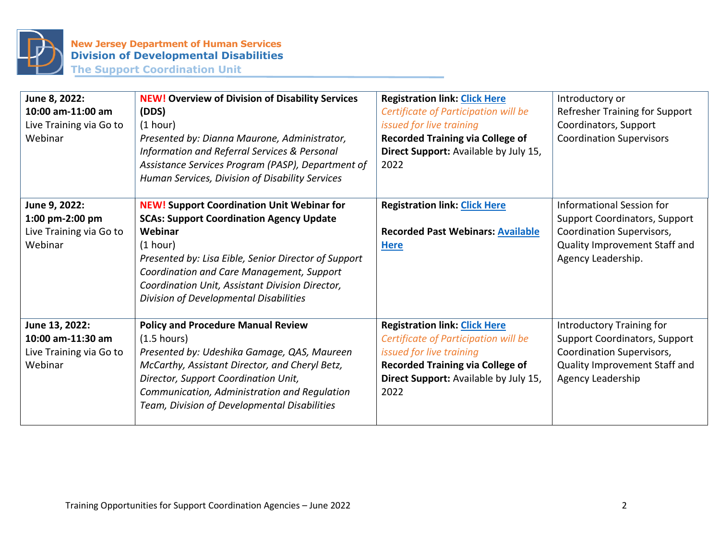

| June 8, 2022:<br>10:00 am-11:00 am<br>Live Training via Go to<br>Webinar  | <b>NEW! Overview of Division of Disability Services</b><br>(DDS)<br>(1 hour)<br>Presented by: Dianna Maurone, Administrator,<br>Information and Referral Services & Personal<br>Assistance Services Program (PASP), Department of<br>Human Services, Division of Disability Services                                          | <b>Registration link: Click Here</b><br>Certificate of Participation will be<br>issued for live training<br><b>Recorded Training via College of</b><br>Direct Support: Available by July 15,<br>2022 | Introductory or<br>Refresher Training for Support<br>Coordinators, Support<br><b>Coordination Supervisors</b>                                         |
|---------------------------------------------------------------------------|-------------------------------------------------------------------------------------------------------------------------------------------------------------------------------------------------------------------------------------------------------------------------------------------------------------------------------|------------------------------------------------------------------------------------------------------------------------------------------------------------------------------------------------------|-------------------------------------------------------------------------------------------------------------------------------------------------------|
| June 9, 2022:<br>1:00 pm-2:00 pm<br>Live Training via Go to<br>Webinar    | <b>NEW! Support Coordination Unit Webinar for</b><br><b>SCAs: Support Coordination Agency Update</b><br>Webinar<br>(1 hour)<br>Presented by: Lisa Eible, Senior Director of Support<br>Coordination and Care Management, Support<br>Coordination Unit, Assistant Division Director,<br>Division of Developmental Disabilities | <b>Registration link: Click Here</b><br><b>Recorded Past Webinars: Available</b><br><b>Here</b>                                                                                                      | Informational Session for<br><b>Support Coordinators, Support</b><br>Coordination Supervisors,<br>Quality Improvement Staff and<br>Agency Leadership. |
| June 13, 2022:<br>10:00 am-11:30 am<br>Live Training via Go to<br>Webinar | <b>Policy and Procedure Manual Review</b><br>(1.5 hours)<br>Presented by: Udeshika Gamage, QAS, Maureen<br>McCarthy, Assistant Director, and Cheryl Betz,<br>Director, Support Coordination Unit,<br>Communication, Administration and Regulation<br>Team, Division of Developmental Disabilities                             | <b>Registration link: Click Here</b><br>Certificate of Participation will be<br>issued for live training<br><b>Recorded Training via College of</b><br>Direct Support: Available by July 15,<br>2022 | Introductory Training for<br><b>Support Coordinators, Support</b><br>Coordination Supervisors,<br>Quality Improvement Staff and<br>Agency Leadership  |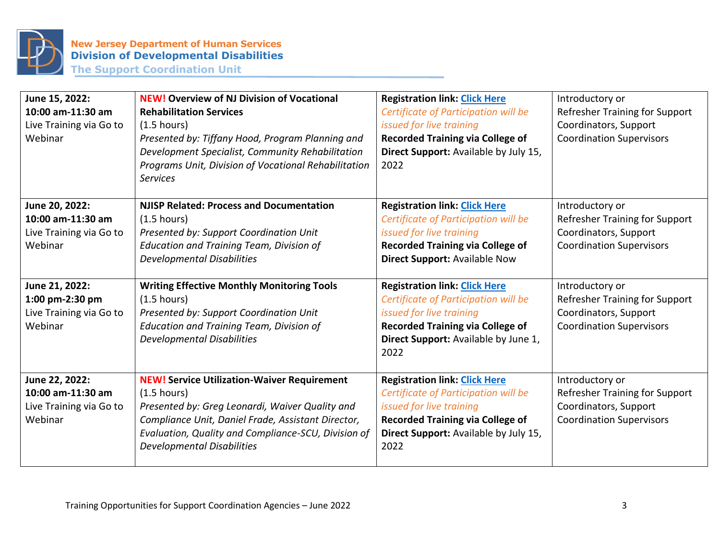

**June 15, 2022: 10:00 am-11:30 am** Live Training via Go to Webinar **NEW! Overview of NJ Division of Vocational Rehabilitation Services** (1.5 hours) *Presented by: Tiffany Hood, Program Planning and Development Specialist, Community Rehabilitation Programs Unit, Division of Vocational Rehabilitation Services* **Registration link: [Click Here](https://register.gotowebinar.com/register/4346698640612945421)** *Certificate of Participation will be issued for live training* **Recorded Training via College of Direct Support:** Available by July 15, 2022 Introductory or Refresher Training for Support Coordinators, Support Coordination Supervisors **June 20, 2022: 10:00 am-11:30 am** Live Training via Go to Webinar **NJISP Related: Process and Documentation** (1.5 hours) *Presented by: Support Coordination Unit Education and Training Team, Division of Developmental Disabilities* **Registration link: [Click Here](https://register.gotowebinar.com/register/5642352148574249997)** *Certificate of Participation will be issued for live training* **Recorded Training via College of Direct Support:** Available Now Introductory or Refresher Training for Support Coordinators, Support Coordination Supervisors **June 21, 2022: 1:00 pm-2:30 pm** Live Training via Go to Webinar **Writing Effective Monthly Monitoring Tools** (1.5 hours) *Presented by: Support Coordination Unit Education and Training Team, Division of Developmental Disabilities* **Registration link: [Click Here](https://register.gotowebinar.com/register/8413815242406915599)** *Certificate of Participation will be issued for live training* **Recorded Training via College of Direct Support:** Available by June 1, 2022 Introductory or Refresher Training for Support Coordinators, Support Coordination Supervisors **June 22, 2022: 10:00 am-11:30 am** Live Training via Go to Webinar **NEW! Service Utilization-Waiver Requirement** (1.5 hours) *Presented by: Greg Leonardi, Waiver Quality and Compliance Unit, Daniel Frade, Assistant Director, Evaluation, Quality and Compliance-SCU, Division of Developmental Disabilities* **Registration link: [Click Here](https://register.gotowebinar.com/register/2383393086776495373)** *Certificate of Participation will be issued for live training* **Recorded Training via College of Direct Support:** Available by July 15, 2022 Introductory or Refresher Training for Support Coordinators, Support Coordination Supervisors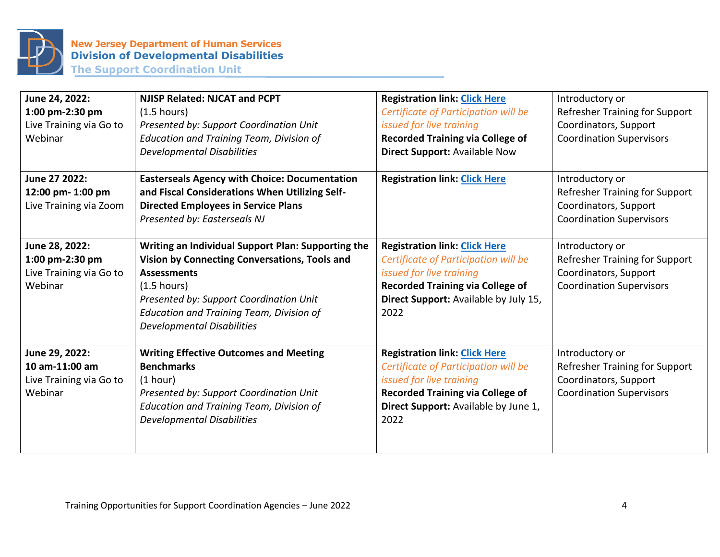

**June 24, 2022: 1:00 pm-2:30 pm** Live Training via Go to Webinar **NJISP Related: NJCAT and PCPT** (1.5 hours) *Presented by: Support Coordination Unit Education and Training Team, Division of Developmental Disabilities* **Registration link: [Click Here](https://register.gotowebinar.com/register/6705998806563910415)** *Certificate of Participation will be issued for live training* **Recorded Training via College of Direct Support:** Available Now Introductory or Refresher Training for Support Coordinators, Support Coordination Supervisors **June 27 2022: 12:00 pm- 1:00 pm** Live Training via Zoom **Easterseals Agency with Choice: Documentation and Fiscal Considerations When Utilizing Self-Directed Employees in Service Plans** *Presented by: Easterseals NJ* **Registration link: [Click Here](https://eastersealsnj.zoom.us/meeting/register/tJUocu2rpzkiGd3sphUXn0MP94GXuCB8U8nx)** | Introductory or Refresher Training for Support Coordinators, Support Coordination Supervisors **June 28, 2022: 1:00 pm-2:30 pm** Live Training via Go to Webinar **Writing an Individual Support Plan: Supporting the Vision by Connecting Conversations, Tools and Assessments** (1.5 hours) *Presented by: Support Coordination Unit Education and Training Team, Division of Developmental Disabilities* **Registration link: [Click Here](https://register.gotowebinar.com/register/5208661881626032143)** *Certificate of Participation will be issued for live training* **Recorded Training via College of Direct Support:** Available by July 15, 2022 Introductory or Refresher Training for Support Coordinators, Support Coordination Supervisors **June 29, 2022: 10 am-11:00 am** Live Training via Go to Webinar **Writing Effective Outcomes and Meeting Benchmarks** (1 hour) *Presented by: Support Coordination Unit Education and Training Team, Division of Developmental Disabilities* **Registration link: [Click Here](https://register.gotowebinar.com/register/2866136965486488588)** *Certificate of Participation will be issued for live training* **Recorded Training via College of Direct Support:** Available by June 1, 2022 Introductory or Refresher Training for Support Coordinators, Support Coordination Supervisors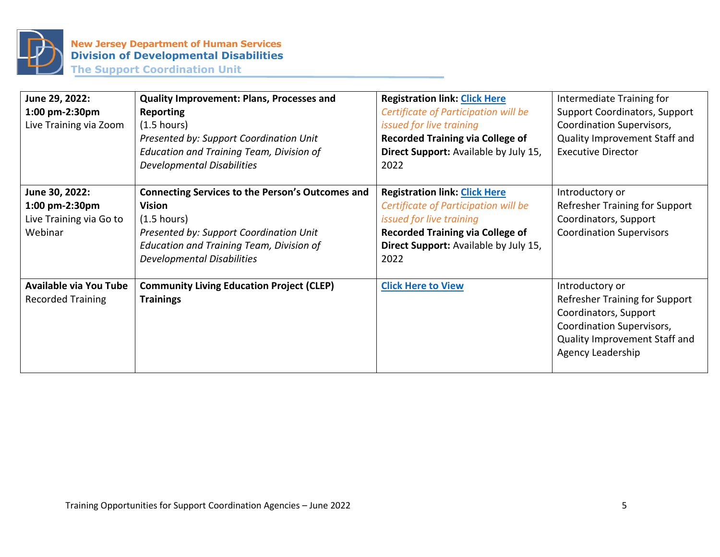

| June 29, 2022:<br>1:00 pm-2:30pm<br>Live Training via Zoom             | Quality Improvement: Plans, Processes and<br><b>Reporting</b><br>(1.5 hours)<br>Presented by: Support Coordination Unit<br><b>Education and Training Team, Division of</b><br><b>Developmental Disabilities</b>               | <b>Registration link: Click Here</b><br>Certificate of Participation will be<br>issued for live training<br><b>Recorded Training via College of</b><br>Direct Support: Available by July 15,<br>2022 | Intermediate Training for<br><b>Support Coordinators, Support</b><br>Coordination Supervisors,<br>Quality Improvement Staff and<br><b>Executive Director</b>         |
|------------------------------------------------------------------------|-------------------------------------------------------------------------------------------------------------------------------------------------------------------------------------------------------------------------------|------------------------------------------------------------------------------------------------------------------------------------------------------------------------------------------------------|----------------------------------------------------------------------------------------------------------------------------------------------------------------------|
| June 30, 2022:<br>1:00 pm-2:30pm<br>Live Training via Go to<br>Webinar | <b>Connecting Services to the Person's Outcomes and</b><br><b>Vision</b><br>$(1.5 \text{ hours})$<br>Presented by: Support Coordination Unit<br><b>Education and Training Team, Division of</b><br>Developmental Disabilities | <b>Registration link: Click Here</b><br>Certificate of Participation will be<br>issued for live training<br><b>Recorded Training via College of</b><br>Direct Support: Available by July 15,<br>2022 | Introductory or<br>Refresher Training for Support<br>Coordinators, Support<br><b>Coordination Supervisors</b>                                                        |
| <b>Available via You Tube</b><br><b>Recorded Training</b>              | <b>Community Living Education Project (CLEP)</b><br><b>Trainings</b>                                                                                                                                                          | <b>Click Here to View</b>                                                                                                                                                                            | Introductory or<br><b>Refresher Training for Support</b><br>Coordinators, Support<br>Coordination Supervisors,<br>Quality Improvement Staff and<br>Agency Leadership |